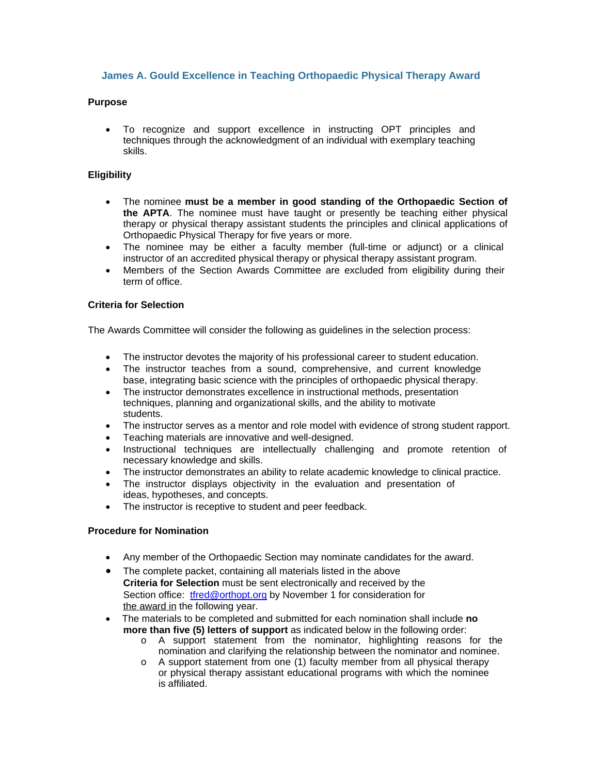# **James A. Gould Excellence in Teaching Orthopaedic Physical Therapy Award**

## **Purpose**

 To recognize and support excellence in instructing OPT principles and techniques through the acknowledgment of an individual with exemplary teaching skills.

# **Eligibility**

- The nominee **must be a member in good standing of the Orthopaedic Section of the APTA**. The nominee must have taught or presently be teaching either physical therapy or physical therapy assistant students the principles and clinical applications of Orthopaedic Physical Therapy for five years or more.
- The nominee may be either a faculty member (full-time or adjunct) or a clinical instructor of an accredited physical therapy or physical therapy assistant program.
- Members of the Section Awards Committee are excluded from eligibility during their term of office.

# **Criteria for Selection**

The Awards Committee will consider the following as guidelines in the selection process:

- The instructor devotes the majority of his professional career to student education.
- The instructor teaches from a sound, comprehensive, and current knowledge base, integrating basic science with the principles of orthopaedic physical therapy.
- The instructor demonstrates excellence in instructional methods, presentation techniques, planning and organizational skills, and the ability to motivate students.
- The instructor serves as a mentor and role model with evidence of strong student rapport.
- Teaching materials are innovative and well-designed.
- Instructional techniques are intellectually challenging and promote retention of necessary knowledge and skills.
- The instructor demonstrates an ability to relate academic knowledge to clinical practice.
- The instructor displays objectivity in the evaluation and presentation of ideas, hypotheses, and concepts.
- The instructor is receptive to student and peer feedback.

### **Procedure for Nomination**

- Any member of the Orthopaedic Section may nominate candidates for the award.
- The complete packet, containing all materials listed in the above **Criteria for Selection** must be sent electronically and received by the Section office: tfred@orthopt.org by November 1 for consideration for the award in the following year.
- The materials to be completed and submitted for each nomination shall include **no more than five (5) letters of support** as indicated below in the following order:
	- o A support statement from the nominator, highlighting reasons for the nomination and clarifying the relationship between the nominator and nominee.
	- o A support statement from one (1) faculty member from all physical therapy or physical therapy assistant educational programs with which the nominee is affiliated.